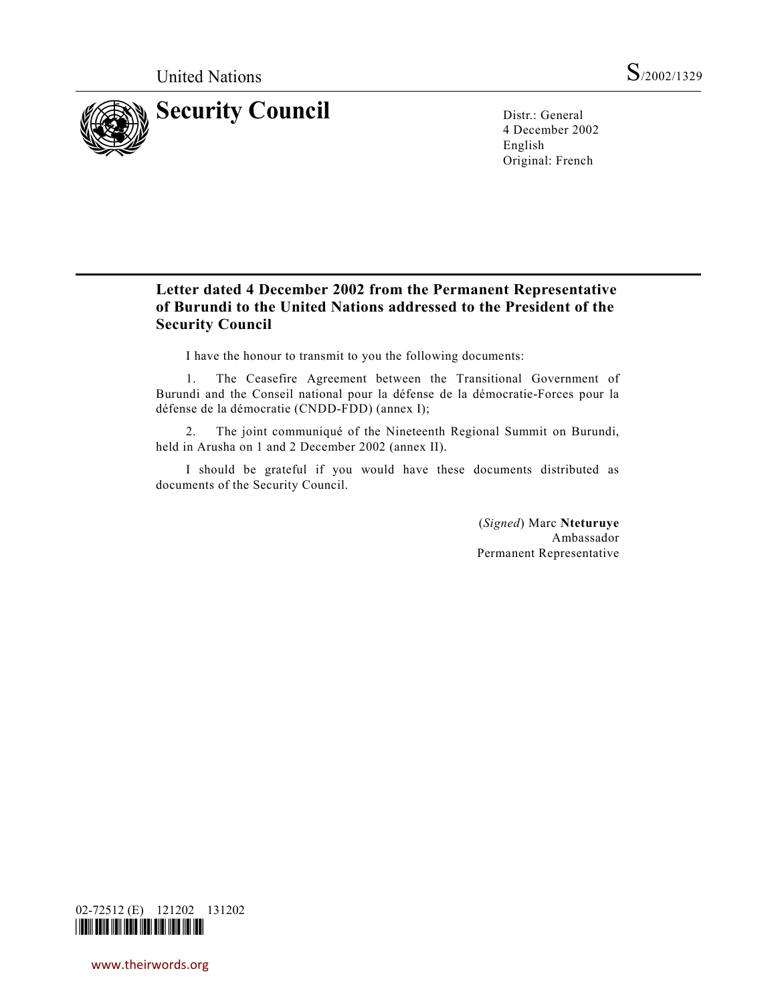

4 December 2002 English Original: French

# **Letter dated 4 December 2002 from the Permanent Representative of Burundi to the United Nations addressed to the President of the Security Council**

I have the honour to transmit to you the following documents:

1. The Ceasefire Agreement between the Transitional Government of Burundi and the Conseil national pour la défense de la démocratie-Forces pour la défense de la démocratie (CNDD-FDD) (annex I);

2. The joint communiqué of the Nineteenth Regional Summit on Burundi, held in Arusha on 1 and 2 December 2002 (annex II).

I should be grateful if you would have these documents distributed as documents of the Security Council.

> (*Signed*) Marc **Nteturuye** Ambassador Permanent Representative



www.theirwords.org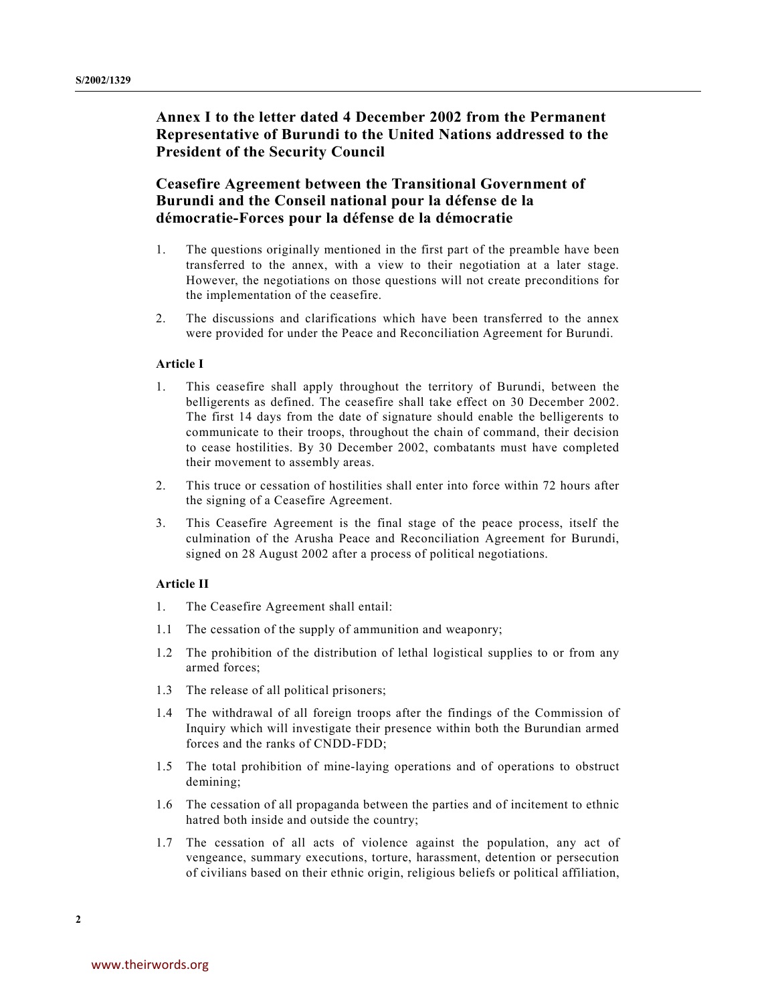# **Annex I to the letter dated 4 December 2002 from the Permanent Representative of Burundi to the United Nations addressed to the President of the Security Council**

# **Ceasefire Agreement between the Transitional Government of Burundi and the Conseil national pour la défense de la démocratie-Forces pour la défense de la démocratie**

- 1. The questions originally mentioned in the first part of the preamble have been transferred to the annex, with a view to their negotiation at a later stage. However, the negotiations on those questions will not create preconditions for the implementation of the ceasefire.
- 2. The discussions and clarifications which have been transferred to the annex were provided for under the Peace and Reconciliation Agreement for Burundi.

### **Article I**

- 1. This ceasefire shall apply throughout the territory of Burundi, between the belligerents as defined. The ceasefire shall take effect on 30 December 2002. The first 14 days from the date of signature should enable the belligerents to communicate to their troops, throughout the chain of command, their decision to cease hostilities. By 30 December 2002, combatants must have completed their movement to assembly areas.
- 2. This truce or cessation of hostilities shall enter into force within 72 hours after the signing of a Ceasefire Agreement.
- 3. This Ceasefire Agreement is the final stage of the peace process, itself the culmination of the Arusha Peace and Reconciliation Agreement for Burundi, signed on 28 August 2002 after a process of political negotiations.

### **Article II**

- 1. The Ceasefire Agreement shall entail:
- 1.1 The cessation of the supply of ammunition and weaponry;
- 1.2 The prohibition of the distribution of lethal logistical supplies to or from any armed forces;
- 1.3 The release of all political prisoners;
- 1.4 The withdrawal of all foreign troops after the findings of the Commission of Inquiry which will investigate their presence within both the Burundian armed forces and the ranks of CNDD-FDD;
- 1.5 The total prohibition of mine-laying operations and of operations to obstruct demining;
- 1.6 The cessation of all propaganda between the parties and of incitement to ethnic hatred both inside and outside the country;
- 1.7 The cessation of all acts of violence against the population, any act of vengeance, summary executions, torture, harassment, detention or persecution of civilians based on their ethnic origin, religious beliefs or political affiliation,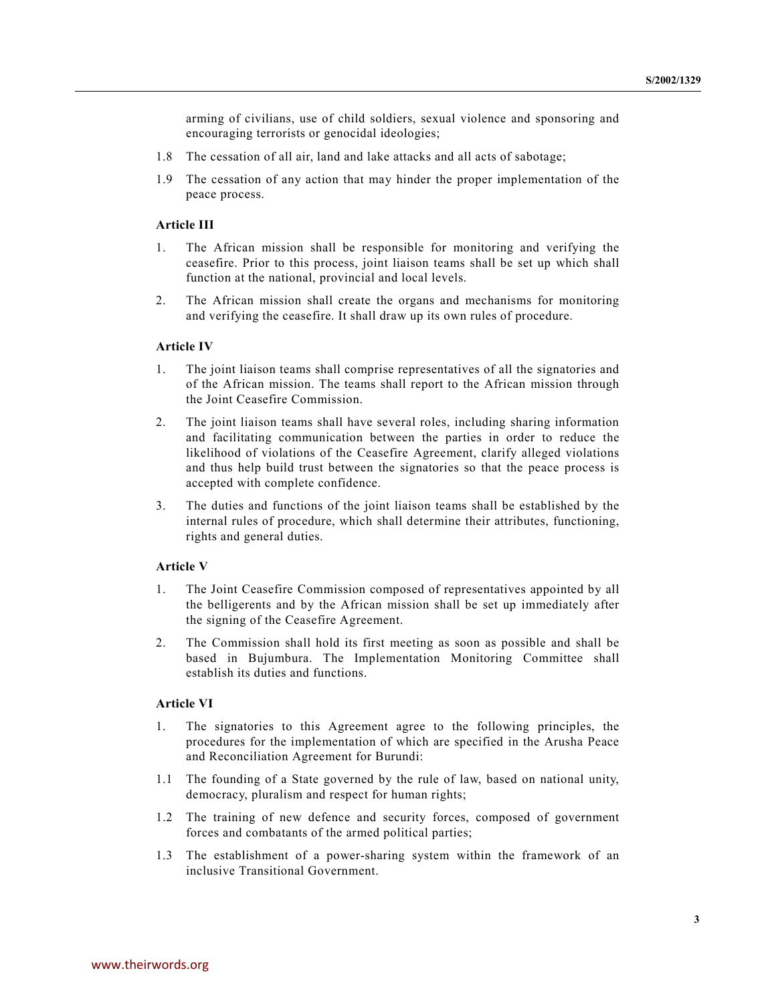arming of civilians, use of child soldiers, sexual violence and sponsoring and encouraging terrorists or genocidal ideologies;

- 1.8 The cessation of all air, land and lake attacks and all acts of sabotage;
- 1.9 The cessation of any action that may hinder the proper implementation of the peace process.

### **Article III**

- 1. The African mission shall be responsible for monitoring and verifying the ceasefire. Prior to this process, joint liaison teams shall be set up which shall function at the national, provincial and local levels.
- 2. The African mission shall create the organs and mechanisms for monitoring and verifying the ceasefire. It shall draw up its own rules of procedure.

#### **Article IV**

- 1. The joint liaison teams shall comprise representatives of all the signatories and of the African mission. The teams shall report to the African mission through the Joint Ceasefire Commission.
- 2. The joint liaison teams shall have several roles, including sharing information and facilitating communication between the parties in order to reduce the likelihood of violations of the Ceasefire Agreement, clarify alleged violations and thus help build trust between the signatories so that the peace process is accepted with complete confidence.
- 3. The duties and functions of the joint liaison teams shall be established by the internal rules of procedure, which shall determine their attributes, functioning, rights and general duties.

### **Article V**

- 1. The Joint Ceasefire Commission composed of representatives appointed by all the belligerents and by the African mission shall be set up immediately after the signing of the Ceasefire Agreement.
- 2. The Commission shall hold its first meeting as soon as possible and shall be based in Bujumbura. The Implementation Monitoring Committee shall establish its duties and functions.

### **Article VI**

- 1. The signatories to this Agreement agree to the following principles, the procedures for the implementation of which are specified in the Arusha Peace and Reconciliation Agreement for Burundi:
- 1.1 The founding of a State governed by the rule of law, based on national unity, democracy, pluralism and respect for human rights;
- 1.2 The training of new defence and security forces, composed of government forces and combatants of the armed political parties;
- 1.3 The establishment of a power-sharing system within the framework of an inclusive Transitional Government.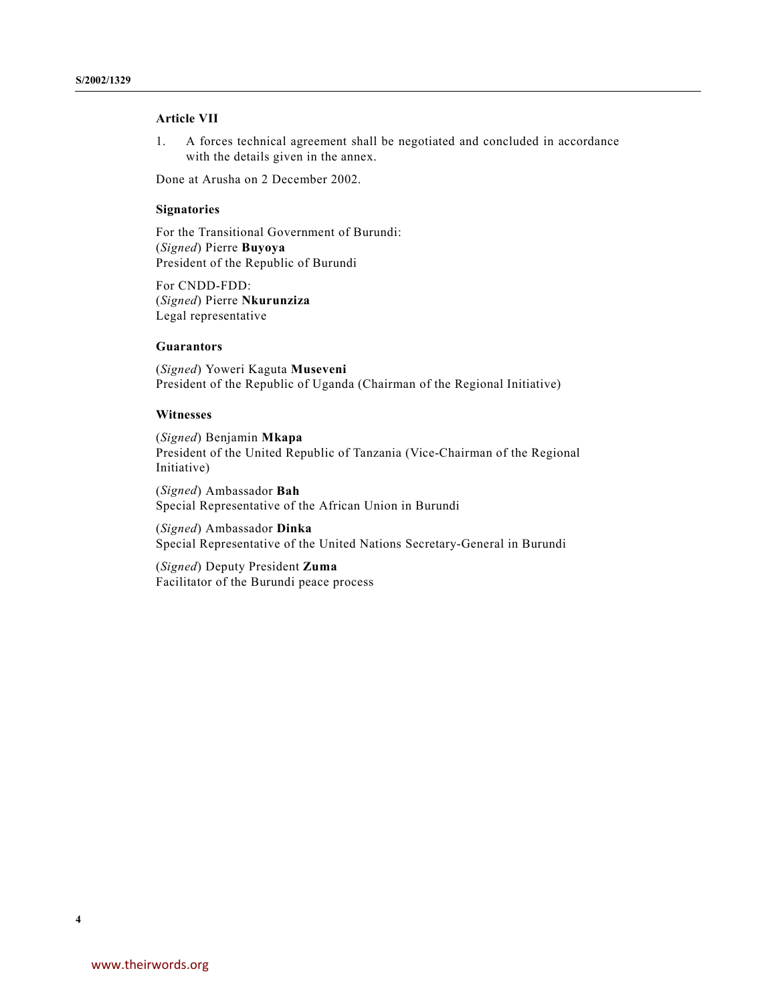## **Article VII**

1. A forces technical agreement shall be negotiated and concluded in accordance with the details given in the annex.

Done at Arusha on 2 December 2002.

## **Signatories**

For the Transitional Government of Burundi: (*Signed*) Pierre **Buyoya** President of the Republic of Burundi

For CNDD-FDD: (*Signed*) Pierre **Nkurunziza** Legal representative

#### **Guarantors**

(*Signed*) Yoweri Kaguta **Museveni** President of the Republic of Uganda (Chairman of the Regional Initiative)

#### **Witnesses**

(*Signed*) Benjamin **Mkapa** President of the United Republic of Tanzania (Vice-Chairman of the Regional Initiative)

(*Signed*) Ambassador **Bah** Special Representative of the African Union in Burundi

(*Signed*) Ambassador **Dinka** Special Representative of the United Nations Secretary-General in Burundi

(*Signed*) Deputy President **Zuma** Facilitator of the Burundi peace process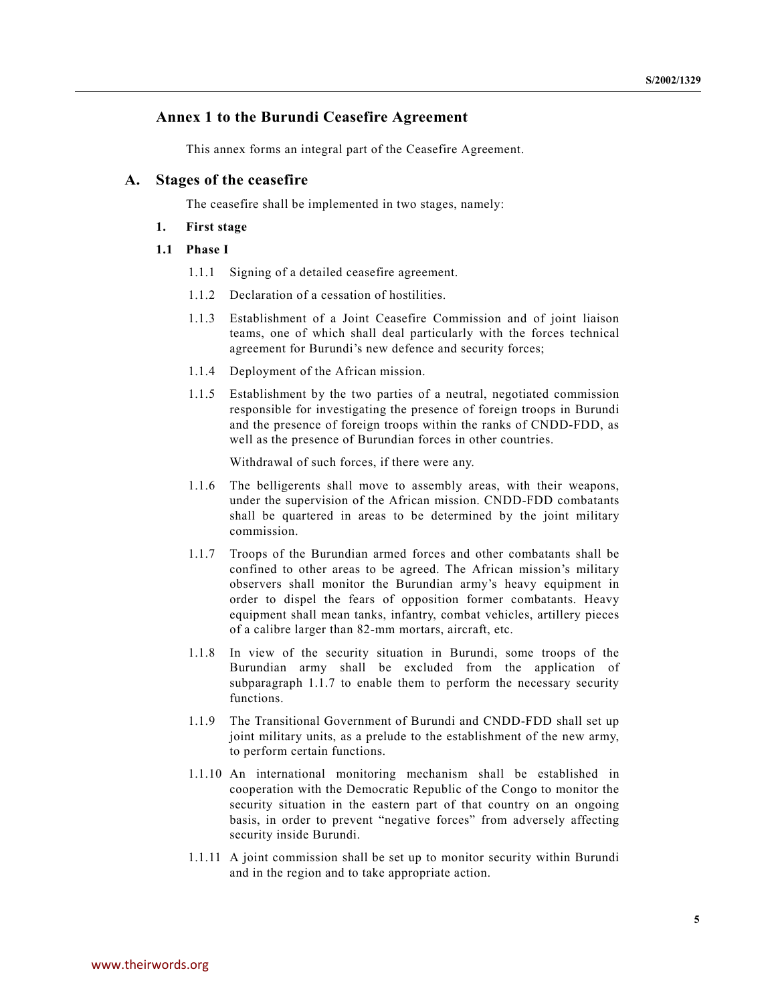# **Annex 1 to the Burundi Ceasefire Agreement**

This annex forms an integral part of the Ceasefire Agreement.

## **A. Stages of the ceasefire**

The ceasefire shall be implemented in two stages, namely:

### **1. First stage**

### **1.1 Phase I**

- 1.1.1 Signing of a detailed ceasefire agreement.
- 1.1.2 Declaration of a cessation of hostilities.
- 1.1.3 Establishment of a Joint Ceasefire Commission and of joint liaison teams, one of which shall deal particularly with the forces technical agreement for Burundi's new defence and security forces;
- 1.1.4 Deployment of the African mission.
- 1.1.5 Establishment by the two parties of a neutral, negotiated commission responsible for investigating the presence of foreign troops in Burundi and the presence of foreign troops within the ranks of CNDD-FDD, as well as the presence of Burundian forces in other countries.

Withdrawal of such forces, if there were any.

- 1.1.6 The belligerents shall move to assembly areas, with their weapons, under the supervision of the African mission. CNDD-FDD combatants shall be quartered in areas to be determined by the joint military commission.
- 1.1.7 Troops of the Burundian armed forces and other combatants shall be confined to other areas to be agreed. The African mission's military observers shall monitor the Burundian army's heavy equipment in order to dispel the fears of opposition former combatants. Heavy equipment shall mean tanks, infantry, combat vehicles, artillery pieces of a calibre larger than 82-mm mortars, aircraft, etc.
- 1.1.8 In view of the security situation in Burundi, some troops of the Burundian army shall be excluded from the application of subparagraph 1.1.7 to enable them to perform the necessary security functions.
- 1.1.9 The Transitional Government of Burundi and CNDD-FDD shall set up joint military units, as a prelude to the establishment of the new army, to perform certain functions.
- 1.1.10 An international monitoring mechanism shall be established in cooperation with the Democratic Republic of the Congo to monitor the security situation in the eastern part of that country on an ongoing basis, in order to prevent "negative forces" from adversely affecting security inside Burundi.
- 1.1.11 A joint commission shall be set up to monitor security within Burundi and in the region and to take appropriate action.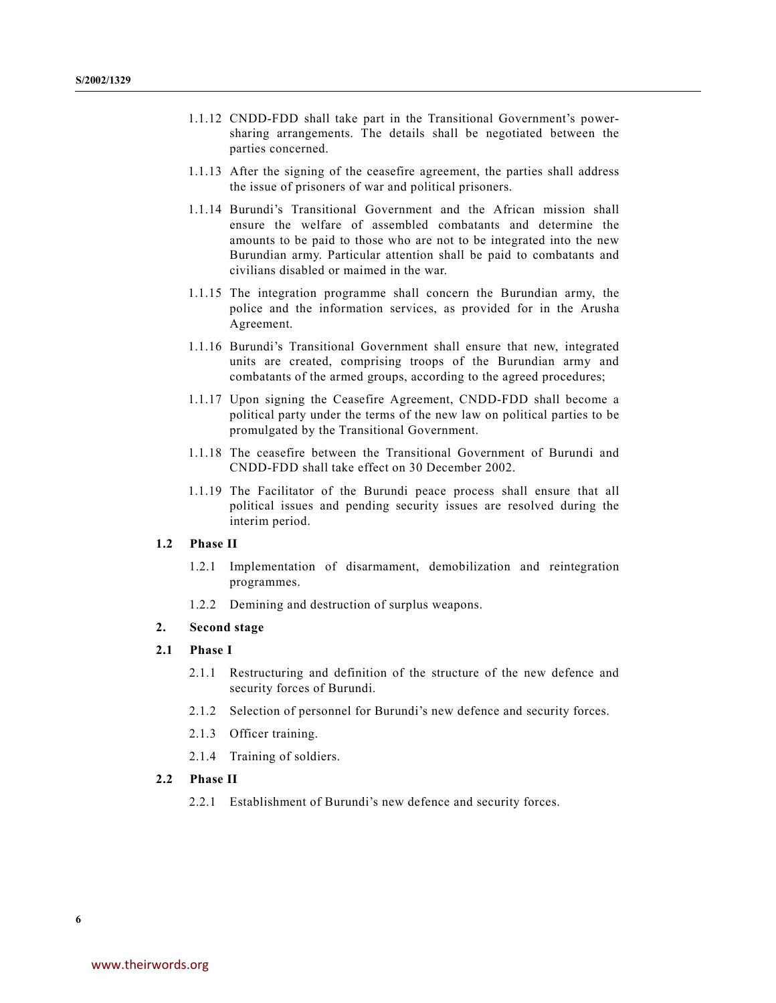- 1.1.12 CNDD-FDD shall take part in the Transitional Government's powersharing arrangements. The details shall be negotiated between the parties concerned.
- 1.1.13 After the signing of the ceasefire agreement, the parties shall address the issue of prisoners of war and political prisoners.
- 1.1.14 Burundi's Transitional Government and the African mission shall ensure the welfare of assembled combatants and determine the amounts to be paid to those who are not to be integrated into the new Burundian army. Particular attention shall be paid to combatants and civilians disabled or maimed in the war.
- 1.1.15 The integration programme shall concern the Burundian army, the police and the information services, as provided for in the Arusha Agreement.
- 1.1.16 Burundi's Transitional Government shall ensure that new, integrated units are created, comprising troops of the Burundian army and combatants of the armed groups, according to the agreed procedures;
- 1.1.17 Upon signing the Ceasefire Agreement, CNDD-FDD shall become a political party under the terms of the new law on political parties to be promulgated by the Transitional Government.
- 1.1.18 The ceasefire between the Transitional Government of Burundi and CNDD-FDD shall take effect on 30 December 2002.
- 1.1.19 The Facilitator of the Burundi peace process shall ensure that all political issues and pending security issues are resolved during the interim period.

### **1.2 Phase II**

- 1.2.1 Implementation of disarmament, demobilization and reintegration programmes.
- 1.2.2 Demining and destruction of surplus weapons.

#### **2. Second stage**

### **2.1 Phase I**

- 2.1.1 Restructuring and definition of the structure of the new defence and security forces of Burundi.
- 2.1.2 Selection of personnel for Burundi's new defence and security forces.
- 2.1.3 Officer training.
- 2.1.4 Training of soldiers.

### **2.2 Phase II**

2.2.1 Establishment of Burundi's new defence and security forces.

**6**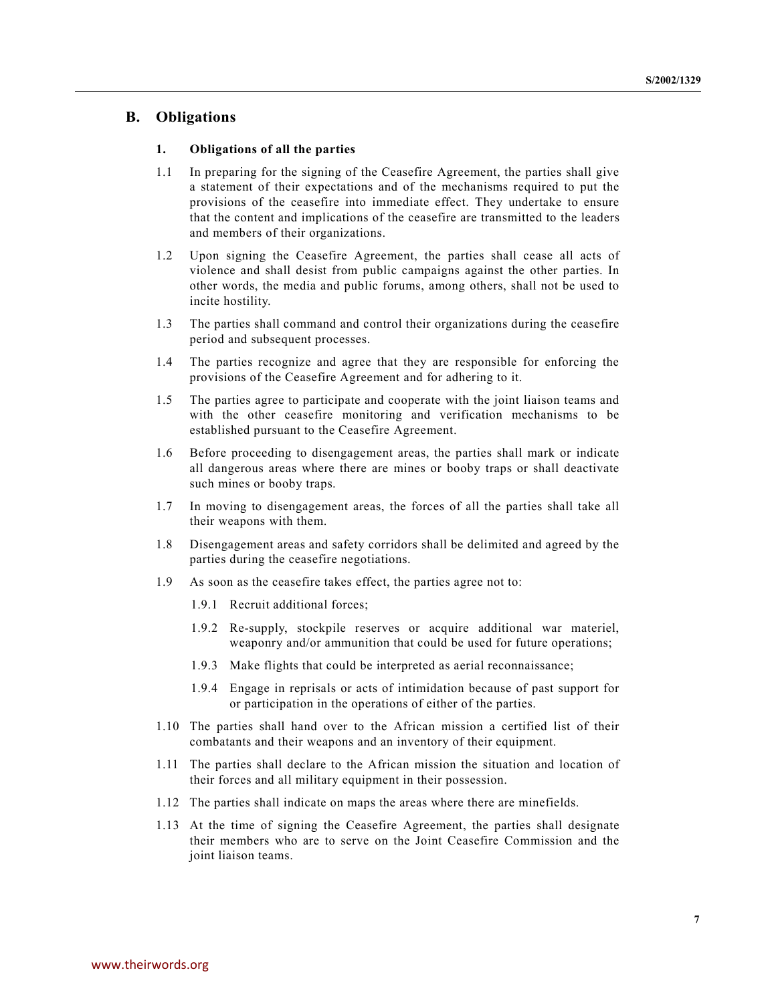## **B. Obligations**

### **1. Obligations of all the parties**

- 1.1 In preparing for the signing of the Ceasefire Agreement, the parties shall give a statement of their expectations and of the mechanisms required to put the provisions of the ceasefire into immediate effect. They undertake to ensure that the content and implications of the ceasefire are transmitted to the leaders and members of their organizations.
- 1.2 Upon signing the Ceasefire Agreement, the parties shall cease all acts of violence and shall desist from public campaigns against the other parties. In other words, the media and public forums, among others, shall not be used to incite hostility.
- 1.3 The parties shall command and control their organizations during the ceasefire period and subsequent processes.
- 1.4 The parties recognize and agree that they are responsible for enforcing the provisions of the Ceasefire Agreement and for adhering to it.
- 1.5 The parties agree to participate and cooperate with the joint liaison teams and with the other ceasefire monitoring and verification mechanisms to be established pursuant to the Ceasefire Agreement.
- 1.6 Before proceeding to disengagement areas, the parties shall mark or indicate all dangerous areas where there are mines or booby traps or shall deactivate such mines or booby traps.
- 1.7 In moving to disengagement areas, the forces of all the parties shall take all their weapons with them.
- 1.8 Disengagement areas and safety corridors shall be delimited and agreed by the parties during the ceasefire negotiations.
- 1.9 As soon as the ceasefire takes effect, the parties agree not to:
	- 1.9.1 Recruit additional forces;
	- 1.9.2 Re-supply, stockpile reserves or acquire additional war materiel, weaponry and/or ammunition that could be used for future operations;
	- 1.9.3 Make flights that could be interpreted as aerial reconnaissance;
	- 1.9.4 Engage in reprisals or acts of intimidation because of past support for or participation in the operations of either of the parties.
- 1.10 The parties shall hand over to the African mission a certified list of their combatants and their weapons and an inventory of their equipment.
- 1.11 The parties shall declare to the African mission the situation and location of their forces and all military equipment in their possession.
- 1.12 The parties shall indicate on maps the areas where there are minefields.
- 1.13 At the time of signing the Ceasefire Agreement, the parties shall designate their members who are to serve on the Joint Ceasefire Commission and the joint liaison teams.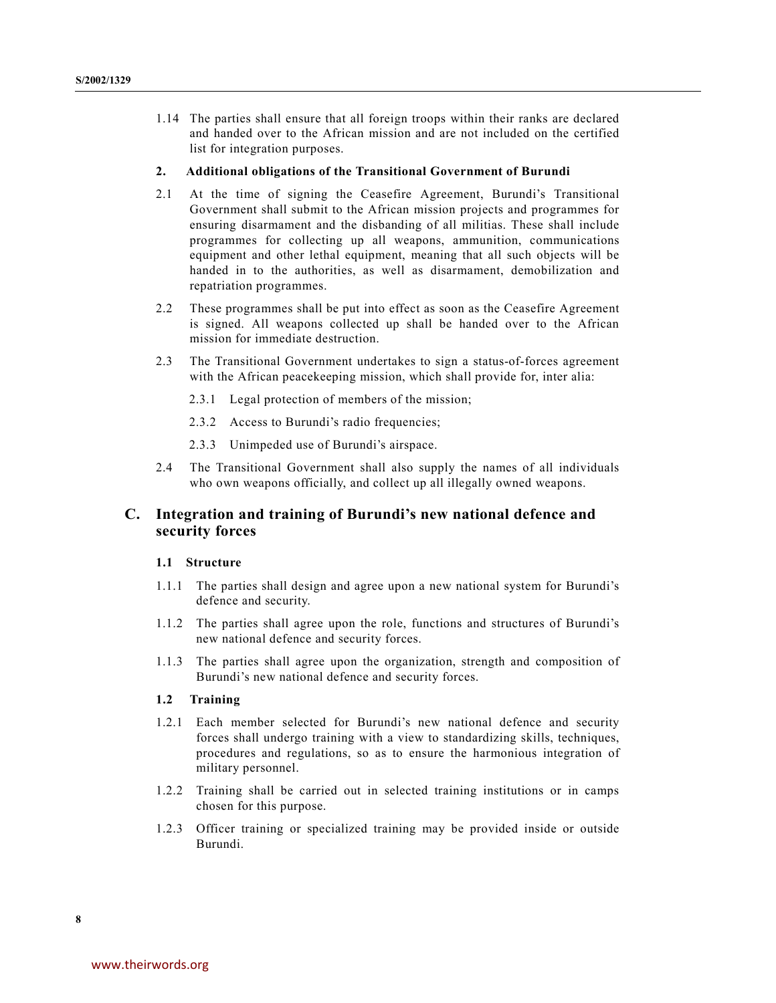1.14 The parties shall ensure that all foreign troops within their ranks are declared and handed over to the African mission and are not included on the certified list for integration purposes.

#### **2. Additional obligations of the Transitional Government of Burundi**

- 2.1 At the time of signing the Ceasefire Agreement, Burundi's Transitional Government shall submit to the African mission projects and programmes for ensuring disarmament and the disbanding of all militias. These shall include programmes for collecting up all weapons, ammunition, communications equipment and other lethal equipment, meaning that all such objects will be handed in to the authorities, as well as disarmament, demobilization and repatriation programmes.
- 2.2 These programmes shall be put into effect as soon as the Ceasefire Agreement is signed. All weapons collected up shall be handed over to the African mission for immediate destruction.
- 2.3 The Transitional Government undertakes to sign a status-of-forces agreement with the African peacekeeping mission, which shall provide for, inter alia:
	- 2.3.1 Legal protection of members of the mission;
	- 2.3.2 Access to Burundi's radio frequencies;
	- 2.3.3 Unimpeded use of Burundi's airspace.
- 2.4 The Transitional Government shall also supply the names of all individuals who own weapons officially, and collect up all illegally owned weapons.

# **C. Integration and training of Burundi's new national defence and security forces**

### **1.1 Structure**

- 1.1.1 The parties shall design and agree upon a new national system for Burundi's defence and security.
- 1.1.2 The parties shall agree upon the role, functions and structures of Burundi's new national defence and security forces.
- 1.1.3 The parties shall agree upon the organization, strength and composition of Burundi's new national defence and security forces.

### **1.2 Training**

- 1.2.1 Each member selected for Burundi's new national defence and security forces shall undergo training with a view to standardizing skills, techniques, procedures and regulations, so as to ensure the harmonious integration of military personnel.
- 1.2.2 Training shall be carried out in selected training institutions or in camps chosen for this purpose.
- 1.2.3 Officer training or specialized training may be provided inside or outside Burundi.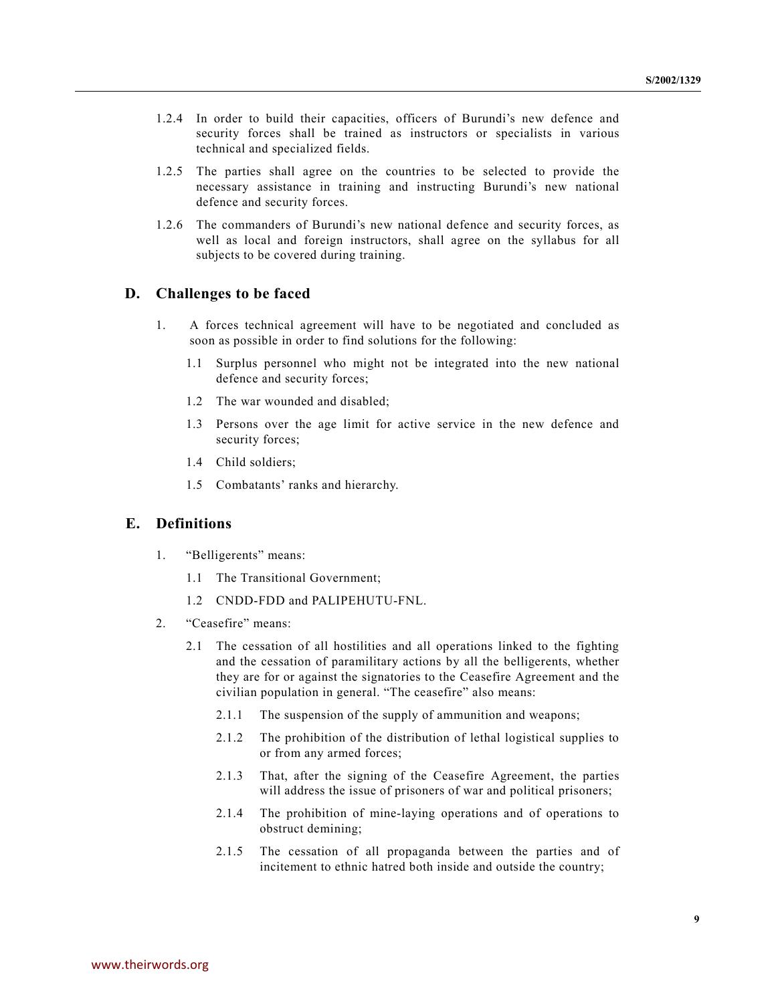- 1.2.4 In order to build their capacities, officers of Burundi's new defence and security forces shall be trained as instructors or specialists in various technical and specialized fields.
- 1.2.5 The parties shall agree on the countries to be selected to provide the necessary assistance in training and instructing Burundi's new national defence and security forces.
- 1.2.6 The commanders of Burundi's new national defence and security forces, as well as local and foreign instructors, shall agree on the syllabus for all subjects to be covered during training.

# **D. Challenges to be faced**

- 1. A forces technical agreement will have to be negotiated and concluded as soon as possible in order to find solutions for the following:
	- 1.1 Surplus personnel who might not be integrated into the new national defence and security forces;
	- 1.2 The war wounded and disabled;
	- 1.3 Persons over the age limit for active service in the new defence and security forces;
	- 1.4 Child soldiers;
	- 1.5 Combatants' ranks and hierarchy.

# **E. Definitions**

- 1. "Belligerents" means:
	- 1.1 The Transitional Government;
	- 1.2 CNDD-FDD and PALIPEHUTU-FNL.
- 2. "Ceasefire" means:
	- 2.1 The cessation of all hostilities and all operations linked to the fighting and the cessation of paramilitary actions by all the belligerents, whether they are for or against the signatories to the Ceasefire Agreement and the civilian population in general. "The ceasefire" also means:
		- 2.1.1 The suspension of the supply of ammunition and weapons;
		- 2.1.2 The prohibition of the distribution of lethal logistical supplies to or from any armed forces;
		- 2.1.3 That, after the signing of the Ceasefire Agreement, the parties will address the issue of prisoners of war and political prisoners;
		- 2.1.4 The prohibition of mine-laying operations and of operations to obstruct demining;
		- 2.1.5 The cessation of all propaganda between the parties and of incitement to ethnic hatred both inside and outside the country;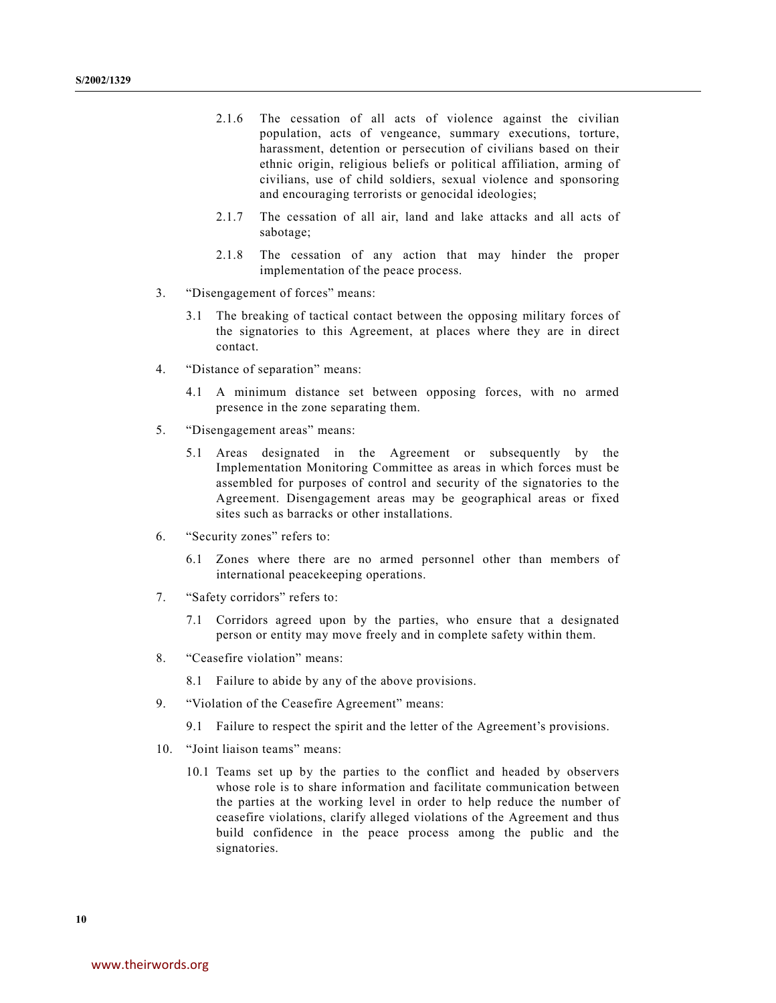- 2.1.6 The cessation of all acts of violence against the civilian population, acts of vengeance, summary executions, torture, harassment, detention or persecution of civilians based on their ethnic origin, religious beliefs or political affiliation, arming of civilians, use of child soldiers, sexual violence and sponsoring and encouraging terrorists or genocidal ideologies;
- 2.1.7 The cessation of all air, land and lake attacks and all acts of sabotage;
- 2.1.8 The cessation of any action that may hinder the proper implementation of the peace process.
- 3. "Disengagement of forces" means:
	- 3.1 The breaking of tactical contact between the opposing military forces of the signatories to this Agreement, at places where they are in direct contact.
- 4. "Distance of separation" means:
	- 4.1 A minimum distance set between opposing forces, with no armed presence in the zone separating them.
- 5. "Disengagement areas" means:
	- 5.1 Areas designated in the Agreement or subsequently by the Implementation Monitoring Committee as areas in which forces must be assembled for purposes of control and security of the signatories to the Agreement. Disengagement areas may be geographical areas or fixed sites such as barracks or other installations.
- 6. "Security zones" refers to:
	- 6.1 Zones where there are no armed personnel other than members of international peacekeeping operations.
- 7. "Safety corridors" refers to:
	- 7.1 Corridors agreed upon by the parties, who ensure that a designated person or entity may move freely and in complete safety within them.
- 8. "Ceasefire violation" means:
	- 8.1 Failure to abide by any of the above provisions.
- 9. "Violation of the Ceasefire Agreement" means:
	- 9.1 Failure to respect the spirit and the letter of the Agreement's provisions.
- 10. "Joint liaison teams" means:
	- 10.1 Teams set up by the parties to the conflict and headed by observers whose role is to share information and facilitate communication between the parties at the working level in order to help reduce the number of ceasefire violations, clarify alleged violations of the Agreement and thus build confidence in the peace process among the public and the signatories.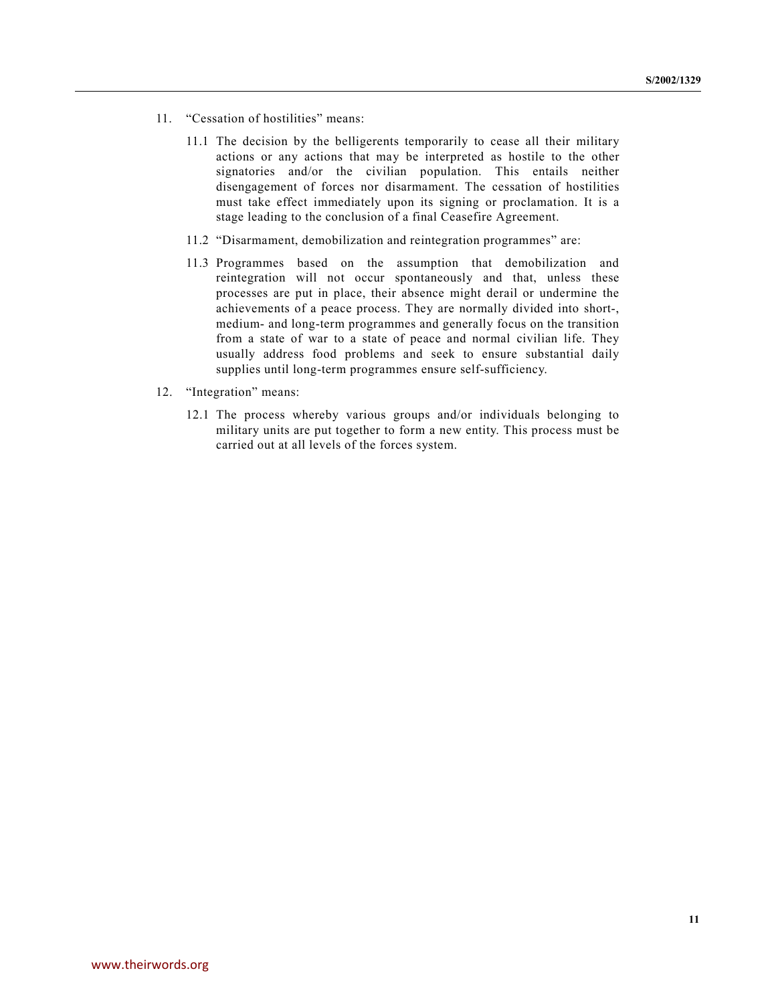- 11. "Cessation of hostilities" means:
	- 11.1 The decision by the belligerents temporarily to cease all their military actions or any actions that may be interpreted as hostile to the other signatories and/or the civilian population. This entails neither disengagement of forces nor disarmament. The cessation of hostilities must take effect immediately upon its signing or proclamation. It is a stage leading to the conclusion of a final Ceasefire Agreement.
	- 11.2 "Disarmament, demobilization and reintegration programmes" are:
	- 11.3 Programmes based on the assumption that demobilization and reintegration will not occur spontaneously and that, unless these processes are put in place, their absence might derail or undermine the achievements of a peace process. They are normally divided into short-, medium- and long-term programmes and generally focus on the transition from a state of war to a state of peace and normal civilian life. They usually address food problems and seek to ensure substantial daily supplies until long-term programmes ensure self-sufficiency.
- 12. "Integration" means:
	- 12.1 The process whereby various groups and/or individuals belonging to military units are put together to form a new entity. This process must be carried out at all levels of the forces system.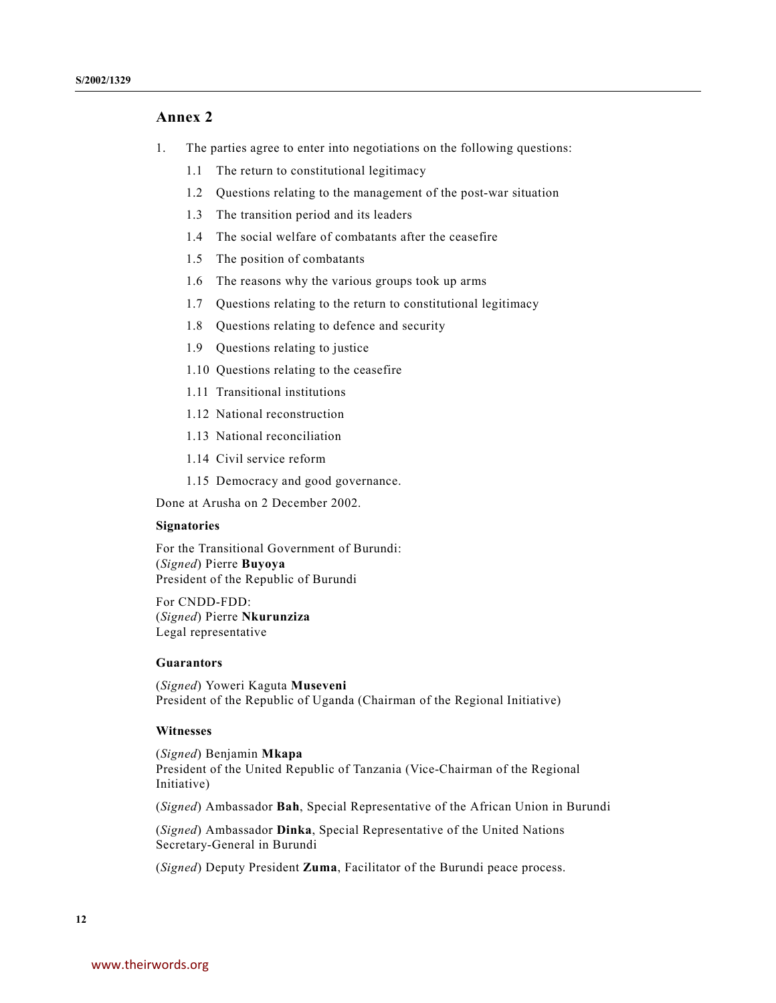# **Annex 2**

- 1. The parties agree to enter into negotiations on the following questions:
	- 1.1 The return to constitutional legitimacy
	- 1.2 Questions relating to the management of the post-war situation
	- 1.3 The transition period and its leaders
	- 1.4 The social welfare of combatants after the ceasefire
	- 1.5 The position of combatants
	- 1.6 The reasons why the various groups took up arms
	- 1.7 Questions relating to the return to constitutional legitimacy
	- 1.8 Questions relating to defence and security
	- 1.9 Questions relating to justice
	- 1.10 Questions relating to the ceasefire
	- 1.11 Transitional institutions
	- 1.12 National reconstruction
	- 1.13 National reconciliation
	- 1.14 Civil service reform
	- 1.15 Democracy and good governance.

Done at Arusha on 2 December 2002.

### **Signatories**

For the Transitional Government of Burundi: (*Signed*) Pierre **Buyoya** President of the Republic of Burundi

For CNDD-FDD: (*Signed*) Pierre **Nkurunziza** Legal representative

### **Guarantors**

(*Signed*) Yoweri Kaguta **Museveni** President of the Republic of Uganda (Chairman of the Regional Initiative)

### **Witnesses**

(*Signed*) Benjamin **Mkapa** President of the United Republic of Tanzania (Vice-Chairman of the Regional Initiative)

(*Signed*) Ambassador **Bah**, Special Representative of the African Union in Burundi

(*Signed*) Ambassador **Dinka**, Special Representative of the United Nations Secretary-General in Burundi

(*Signed*) Deputy President **Zuma**, Facilitator of the Burundi peace process.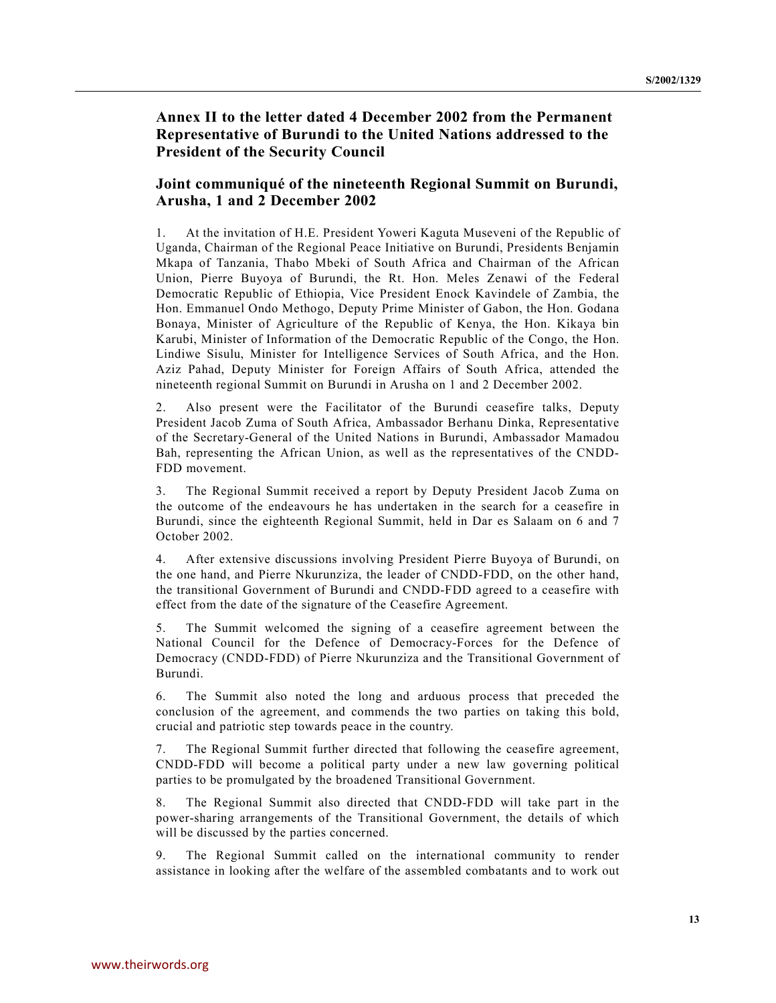**Annex II to the letter dated 4 December 2002 from the Permanent Representative of Burundi to the United Nations addressed to the President of the Security Council**

# **Joint communiqué of the nineteenth Regional Summit on Burundi, Arusha, 1 and 2 December 2002**

1. At the invitation of H.E. President Yoweri Kaguta Museveni of the Republic of Uganda, Chairman of the Regional Peace Initiative on Burundi, Presidents Benjamin Mkapa of Tanzania, Thabo Mbeki of South Africa and Chairman of the African Union, Pierre Buyoya of Burundi, the Rt. Hon. Meles Zenawi of the Federal Democratic Republic of Ethiopia, Vice President Enock Kavindele of Zambia, the Hon. Emmanuel Ondo Methogo, Deputy Prime Minister of Gabon, the Hon. Godana Bonaya, Minister of Agriculture of the Republic of Kenya, the Hon. Kikaya bin Karubi, Minister of Information of the Democratic Republic of the Congo, the Hon. Lindiwe Sisulu, Minister for Intelligence Services of South Africa, and the Hon. Aziz Pahad, Deputy Minister for Foreign Affairs of South Africa, attended the nineteenth regional Summit on Burundi in Arusha on 1 and 2 December 2002.

2. Also present were the Facilitator of the Burundi ceasefire talks, Deputy President Jacob Zuma of South Africa, Ambassador Berhanu Dinka, Representative of the Secretary-General of the United Nations in Burundi, Ambassador Mamadou Bah, representing the African Union, as well as the representatives of the CNDD-FDD movement.

3. The Regional Summit received a report by Deputy President Jacob Zuma on the outcome of the endeavours he has undertaken in the search for a ceasefire in Burundi, since the eighteenth Regional Summit, held in Dar es Salaam on 6 and 7 October 2002.

4. After extensive discussions involving President Pierre Buyoya of Burundi, on the one hand, and Pierre Nkurunziza, the leader of CNDD-FDD, on the other hand, the transitional Government of Burundi and CNDD-FDD agreed to a ceasefire with effect from the date of the signature of the Ceasefire Agreement.

5. The Summit welcomed the signing of a ceasefire agreement between the National Council for the Defence of Democracy-Forces for the Defence of Democracy (CNDD-FDD) of Pierre Nkurunziza and the Transitional Government of Burundi.

6. The Summit also noted the long and arduous process that preceded the conclusion of the agreement, and commends the two parties on taking this bold, crucial and patriotic step towards peace in the country.

7. The Regional Summit further directed that following the ceasefire agreement, CNDD-FDD will become a political party under a new law governing political parties to be promulgated by the broadened Transitional Government.

8. The Regional Summit also directed that CNDD-FDD will take part in the power-sharing arrangements of the Transitional Government, the details of which will be discussed by the parties concerned.

9. The Regional Summit called on the international community to render assistance in looking after the welfare of the assembled combatants and to work out